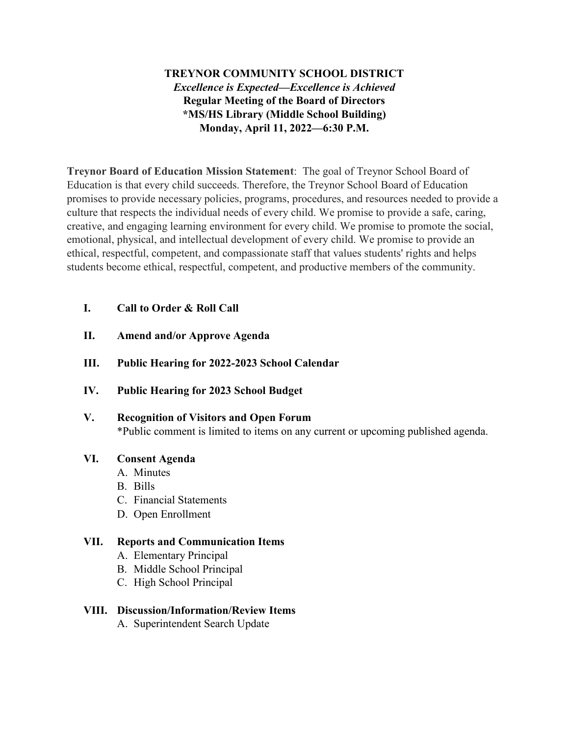## **TREYNOR COMMUNITY SCHOOL DISTRICT** *Excellence is Expected—Excellence is Achieved* **Regular Meeting of the Board of Directors \*MS/HS Library (Middle School Building) Monday, April 11, 2022—6:30 P.M.**

**Treynor Board of Education Mission Statement**: The goal of Treynor School Board of Education is that every child succeeds. Therefore, the Treynor School Board of Education promises to provide necessary policies, programs, procedures, and resources needed to provide a culture that respects the individual needs of every child. We promise to provide a safe, caring, creative, and engaging learning environment for every child. We promise to promote the social, emotional, physical, and intellectual development of every child. We promise to provide an ethical, respectful, competent, and compassionate staff that values students' rights and helps students become ethical, respectful, competent, and productive members of the community.

### **I. Call to Order & Roll Call**

- **II. Amend and/or Approve Agenda**
- **III. Public Hearing for 2022-2023 School Calendar**
- **IV. Public Hearing for 2023 School Budget**
- **V. Recognition of Visitors and Open Forum** \*Public comment is limited to items on any current or upcoming published agenda.

#### **VI. Consent Agenda**

- A. Minutes
- B. Bills
- C. Financial Statements
- D. Open Enrollment

#### **VII. Reports and Communication Items**

- A. Elementary Principal
- B. Middle School Principal
- C. High School Principal

#### **VIII. Discussion/Information/Review Items**

A. Superintendent Search Update